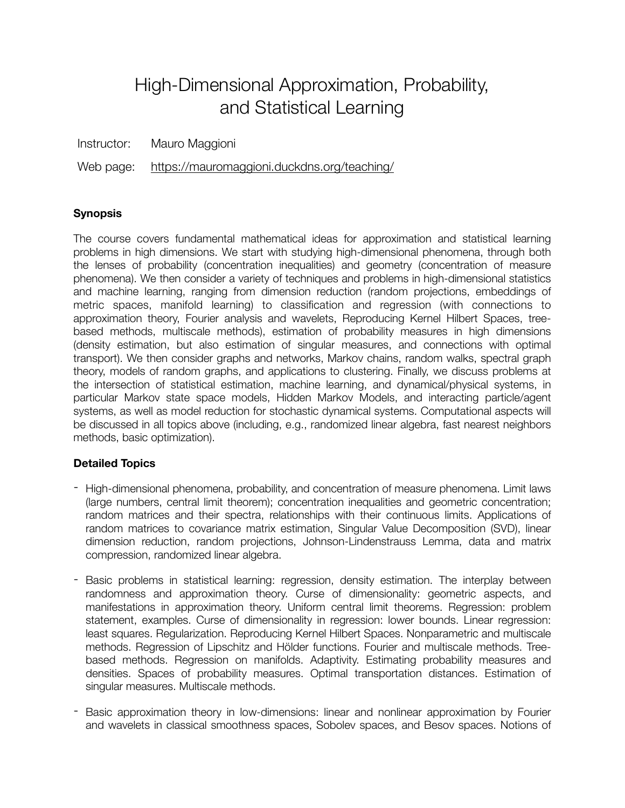# High-Dimensional Approximation, Probability, and Statistical Learning

Instructor: Mauro Maggioni

Web page: <https://mauromaggioni.duckdns.org/teaching/>

## **Synopsis**

The course covers fundamental mathematical ideas for approximation and statistical learning problems in high dimensions. We start with studying high-dimensional phenomena, through both the lenses of probability (concentration inequalities) and geometry (concentration of measure phenomena). We then consider a variety of techniques and problems in high-dimensional statistics and machine learning, ranging from dimension reduction (random projections, embeddings of metric spaces, manifold learning) to classification and regression (with connections to approximation theory, Fourier analysis and wavelets, Reproducing Kernel Hilbert Spaces, treebased methods, multiscale methods), estimation of probability measures in high dimensions (density estimation, but also estimation of singular measures, and connections with optimal transport). We then consider graphs and networks, Markov chains, random walks, spectral graph theory, models of random graphs, and applications to clustering. Finally, we discuss problems at the intersection of statistical estimation, machine learning, and dynamical/physical systems, in particular Markov state space models, Hidden Markov Models, and interacting particle/agent systems, as well as model reduction for stochastic dynamical systems. Computational aspects will be discussed in all topics above (including, e.g., randomized linear algebra, fast nearest neighbors methods, basic optimization).

## **Detailed Topics**

- High-dimensional phenomena, probability, and concentration of measure phenomena. Limit laws (large numbers, central limit theorem); concentration inequalities and geometric concentration; random matrices and their spectra, relationships with their continuous limits. Applications of random matrices to covariance matrix estimation, Singular Value Decomposition (SVD), linear dimension reduction, random projections, Johnson-Lindenstrauss Lemma, data and matrix compression, randomized linear algebra.
- Basic problems in statistical learning: regression, density estimation. The interplay between randomness and approximation theory. Curse of dimensionality: geometric aspects, and manifestations in approximation theory. Uniform central limit theorems. Regression: problem statement, examples. Curse of dimensionality in regression: lower bounds. Linear regression: least squares. Regularization. Reproducing Kernel Hilbert Spaces. Nonparametric and multiscale methods. Regression of Lipschitz and Hölder functions. Fourier and multiscale methods. Treebased methods. Regression on manifolds. Adaptivity. Estimating probability measures and densities. Spaces of probability measures. Optimal transportation distances. Estimation of singular measures. Multiscale methods.
- Basic approximation theory in low-dimensions: linear and nonlinear approximation by Fourier and wavelets in classical smoothness spaces, Sobolev spaces, and Besov spaces. Notions of